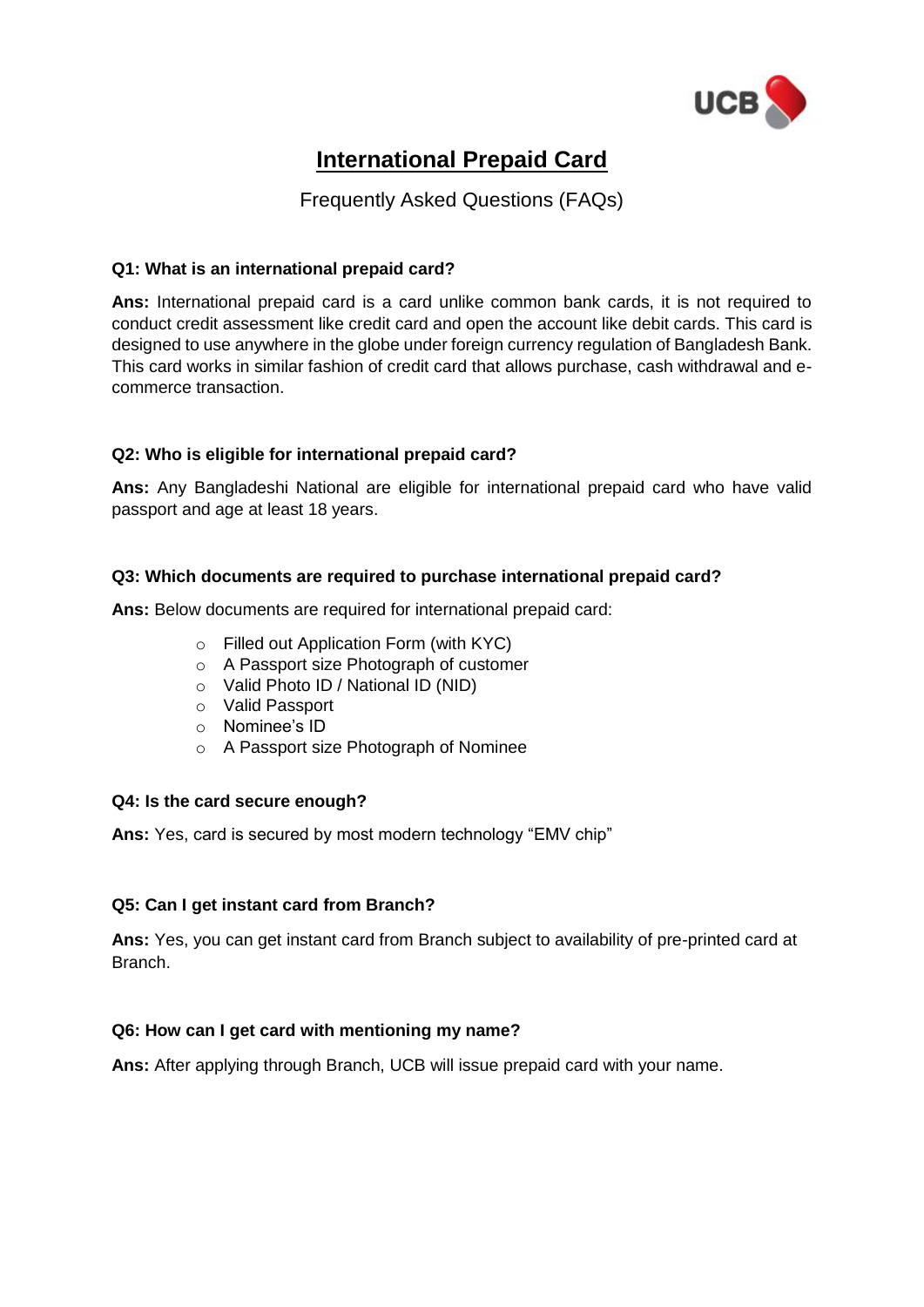

# **International Prepaid Card**

# Frequently Asked Questions (FAQs)

## **Q1: What is an international prepaid card?**

**Ans:** International prepaid card is a card unlike common bank cards, it is not required to conduct credit assessment like credit card and open the account like debit cards. This card is designed to use anywhere in the globe under foreign currency regulation of Bangladesh Bank. This card works in similar fashion of credit card that allows purchase, cash withdrawal and ecommerce transaction.

# **Q2: Who is eligible for international prepaid card?**

**Ans:** Any Bangladeshi National are eligible for international prepaid card who have valid passport and age at least 18 years.

### **Q3: Which documents are required to purchase international prepaid card?**

**Ans:** Below documents are required for international prepaid card:

- o Filled out Application Form (with KYC)
- o A Passport size Photograph of customer
- o Valid Photo ID / National ID (NID)
- o Valid Passport
- o Nominee's ID
- o A Passport size Photograph of Nominee

#### **Q4: Is the card secure enough?**

**Ans:** Yes, card is secured by most modern technology "EMV chip"

# **Q5: Can I get instant card from Branch?**

**Ans:** Yes, you can get instant card from Branch subject to availability of pre-printed card at Branch.

# **Q6: How can I get card with mentioning my name?**

**Ans:** After applying through Branch, UCB will issue prepaid card with your name.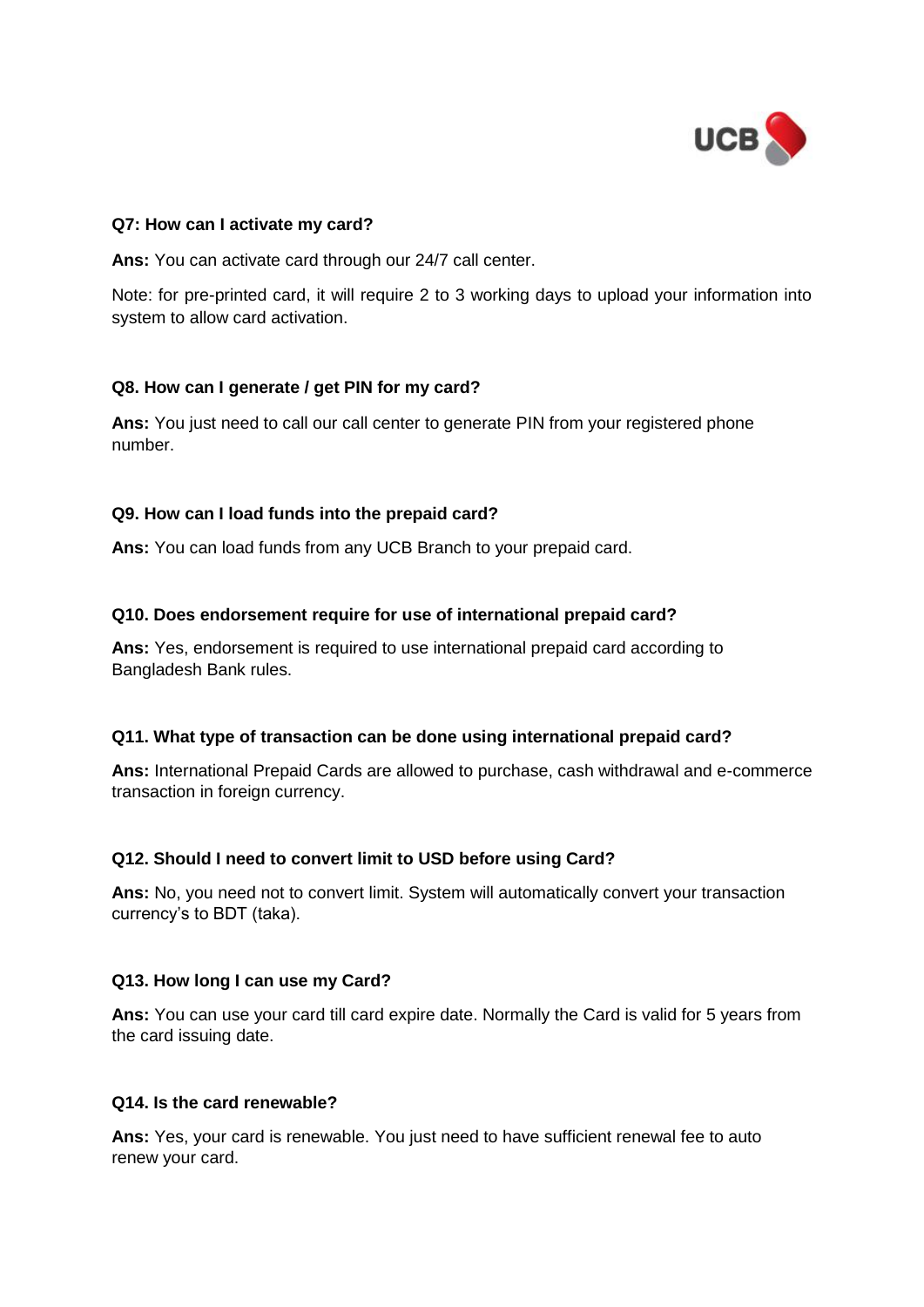

#### **Q7: How can I activate my card?**

**Ans:** You can activate card through our 24/7 call center.

Note: for pre-printed card, it will require 2 to 3 working days to upload your information into system to allow card activation.

#### **Q8. How can I generate / get PIN for my card?**

**Ans:** You just need to call our call center to generate PIN from your registered phone number.

#### **Q9. How can I load funds into the prepaid card?**

**Ans:** You can load funds from any UCB Branch to your prepaid card.

#### **Q10. Does endorsement require for use of international prepaid card?**

**Ans:** Yes, endorsement is required to use international prepaid card according to Bangladesh Bank rules.

#### **Q11. What type of transaction can be done using international prepaid card?**

**Ans:** International Prepaid Cards are allowed to purchase, cash withdrawal and e-commerce transaction in foreign currency.

#### **Q12. Should I need to convert limit to USD before using Card?**

**Ans:** No, you need not to convert limit. System will automatically convert your transaction currency's to BDT (taka).

#### **Q13. How long I can use my Card?**

**Ans:** You can use your card till card expire date. Normally the Card is valid for 5 years from the card issuing date.

#### **Q14. Is the card renewable?**

**Ans:** Yes, your card is renewable. You just need to have sufficient renewal fee to auto renew your card.